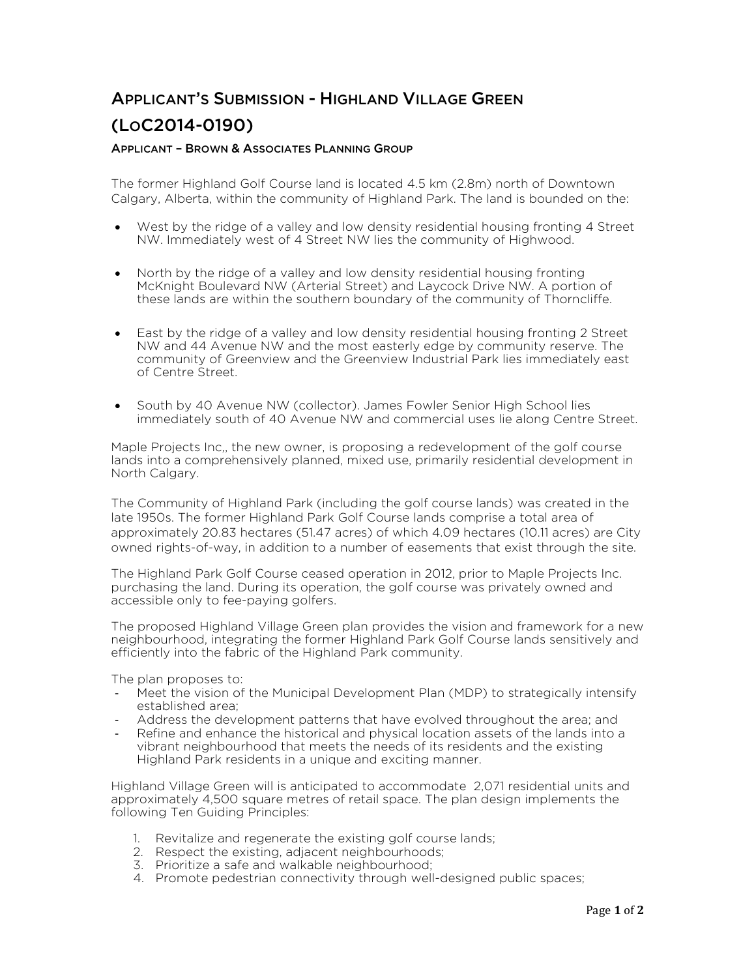## APPLICANT'S SUBMISSION - HIGHLAND VILLAGE GREEN (LOC2014-0190)

## APPLICANT – BROWN & ASSOCIATES PLANNING GROUP

The former Highland Golf Course land is located 4.5 km (2.8m) north of Downtown Calgary, Alberta, within the community of Highland Park. The land is bounded on the:

- West by the ridge of a valley and low density residential housing fronting 4 Street NW. Immediately west of 4 Street NW lies the community of Highwood.
- North by the ridge of a valley and low density residential housing fronting McKnight Boulevard NW (Arterial Street) and Laycock Drive NW. A portion of these lands are within the southern boundary of the community of Thorncliffe.
- East by the ridge of a valley and low density residential housing fronting 2 Street NW and 44 Avenue NW and the most easterly edge by community reserve. The community of Greenview and the Greenview Industrial Park lies immediately east of Centre Street.
- South by 40 Avenue NW (collector). James Fowler Senior High School lies immediately south of 40 Avenue NW and commercial uses lie along Centre Street.

Maple Projects Inc,, the new owner, is proposing a redevelopment of the golf course lands into a comprehensively planned, mixed use, primarily residential development in North Calgary.

The Community of Highland Park (including the golf course lands) was created in the late 1950s. The former Highland Park Golf Course lands comprise a total area of approximately 20.83 hectares (51.47 acres) of which 4.09 hectares (10.11 acres) are City owned rights-of-way, in addition to a number of easements that exist through the site.

The Highland Park Golf Course ceased operation in 2012, prior to Maple Projects Inc. purchasing the land. During its operation, the golf course was privately owned and accessible only to fee-paying golfers.

The proposed Highland Village Green plan provides the vision and framework for a new neighbourhood, integrating the former Highland Park Golf Course lands sensitively and efficiently into the fabric of the Highland Park community.

The plan proposes to:

- Meet the vision of the Municipal Development Plan (MDP) to strategically intensify established area;
- Address the development patterns that have evolved throughout the area; and
- Refine and enhance the historical and physical location assets of the lands into a vibrant neighbourhood that meets the needs of its residents and the existing Highland Park residents in a unique and exciting manner.

Highland Village Green will is anticipated to accommodate 2,071 residential units and approximately 4,500 square metres of retail space. The plan design implements the following Ten Guiding Principles:

- 1. Revitalize and regenerate the existing golf course lands;
- 2. Respect the existing, adjacent neighbourhoods;
- 3. Prioritize a safe and walkable neighbourhood;
- 4. Promote pedestrian connectivity through well-designed public spaces;